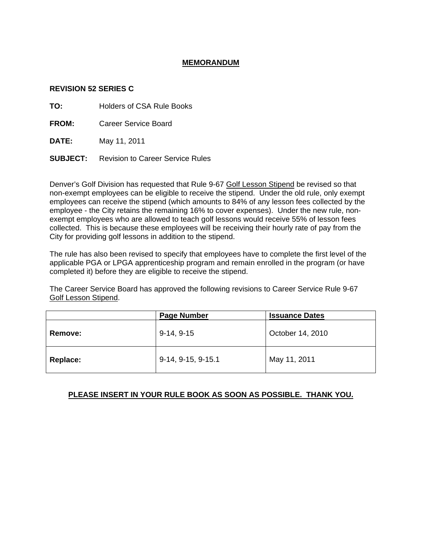## **MEMORANDUM**

### **REVISION 52 SERIES C**

**TO:** Holders of CSA Rule Books

**FROM:** Career Service Board

**DATE:** May 11, 2011

**SUBJECT:** Revision to Career Service Rules

Denver's Golf Division has requested that Rule 9-67 Golf Lesson Stipend be revised so that non-exempt employees can be eligible to receive the stipend. Under the old rule, only exempt employees can receive the stipend (which amounts to 84% of any lesson fees collected by the employee - the City retains the remaining 16% to cover expenses). Under the new rule, nonexempt employees who are allowed to teach golf lessons would receive 55% of lesson fees collected. This is because these employees will be receiving their hourly rate of pay from the City for providing golf lessons in addition to the stipend.

The rule has also been revised to specify that employees have to complete the first level of the applicable PGA or LPGA apprenticeship program and remain enrolled in the program (or have completed it) before they are eligible to receive the stipend.

The Career Service Board has approved the following revisions to Career Service Rule 9-67 Golf Lesson Stipend.

|                | <b>Page Number</b> | <b>Issuance Dates</b> |
|----------------|--------------------|-----------------------|
| <b>Remove:</b> | $9-14, 9-15$       | October 14, 2010      |
| Replace:       | 9-14, 9-15, 9-15.1 | May 11, 2011          |

## **PLEASE INSERT IN YOUR RULE BOOK AS SOON AS POSSIBLE. THANK YOU.**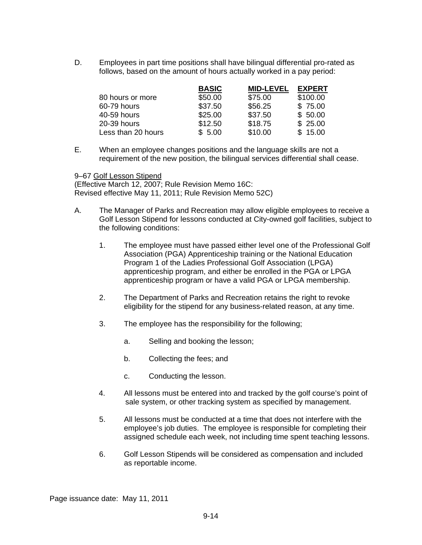D. Employees in part time positions shall have bilingual differential pro-rated as follows, based on the amount of hours actually worked in a pay period:

|                    | <b>BASIC</b> | <b>MID-LEVEL</b> | <b>EXPERT</b> |
|--------------------|--------------|------------------|---------------|
| 80 hours or more   | \$50.00      | \$75.00          | \$100.00      |
| 60-79 hours        | \$37.50      | \$56.25          | \$75.00       |
| 40-59 hours        | \$25.00      | \$37.50          | \$50.00       |
| 20-39 hours        | \$12.50      | \$18.75          | \$25.00       |
| Less than 20 hours | \$5.00       | \$10.00          | \$15.00       |

E. When an employee changes positions and the language skills are not a requirement of the new position, the bilingual services differential shall cease.

9–67 Golf Lesson Stipend

(Effective March 12, 2007; Rule Revision Memo 16C: Revised effective May 11, 2011; Rule Revision Memo 52C)

- A. The Manager of Parks and Recreation may allow eligible employees to receive a Golf Lesson Stipend for lessons conducted at City-owned golf facilities, subject to the following conditions:
	- 1. The employee must have passed either level one of the Professional Golf Association (PGA) Apprenticeship training or the National Education Program 1 of the Ladies Professional Golf Association (LPGA) apprenticeship program, and either be enrolled in the PGA or LPGA apprenticeship program or have a valid PGA or LPGA membership.
	- 2. The Department of Parks and Recreation retains the right to revoke eligibility for the stipend for any business-related reason, at any time.
	- 3. The employee has the responsibility for the following;
		- a. Selling and booking the lesson;
		- b. Collecting the fees; and
		- c. Conducting the lesson.
	- 4. All lessons must be entered into and tracked by the golf course's point of sale system, or other tracking system as specified by management.
	- 5. All lessons must be conducted at a time that does not interfere with the employee's job duties. The employee is responsible for completing their assigned schedule each week, not including time spent teaching lessons.
	- 6. Golf Lesson Stipends will be considered as compensation and included as reportable income.

Page issuance date: May 11, 2011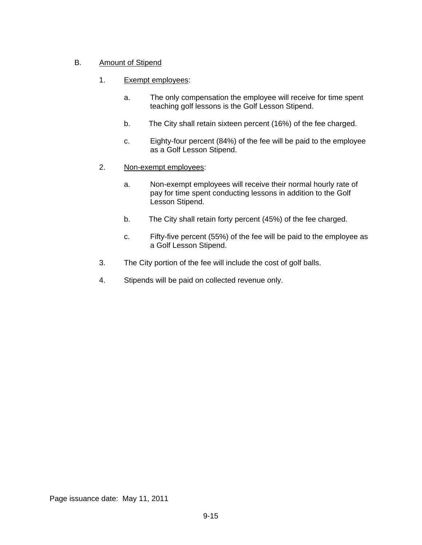# B. Amount of Stipend

- 1. Exempt employees:
	- a. The only compensation the employee will receive for time spent teaching golf lessons is the Golf Lesson Stipend.
	- b. The City shall retain sixteen percent (16%) of the fee charged.
	- c. Eighty-four percent (84%) of the fee will be paid to the employee as a Golf Lesson Stipend.
- 2. Non-exempt employees:
	- a. Non-exempt employees will receive their normal hourly rate of pay for time spent conducting lessons in addition to the Golf Lesson Stipend.
	- b. The City shall retain forty percent (45%) of the fee charged.
	- c. Fifty-five percent (55%) of the fee will be paid to the employee as a Golf Lesson Stipend.
- 3. The City portion of the fee will include the cost of golf balls.
- 4. Stipends will be paid on collected revenue only.

Page issuance date: May 11, 2011